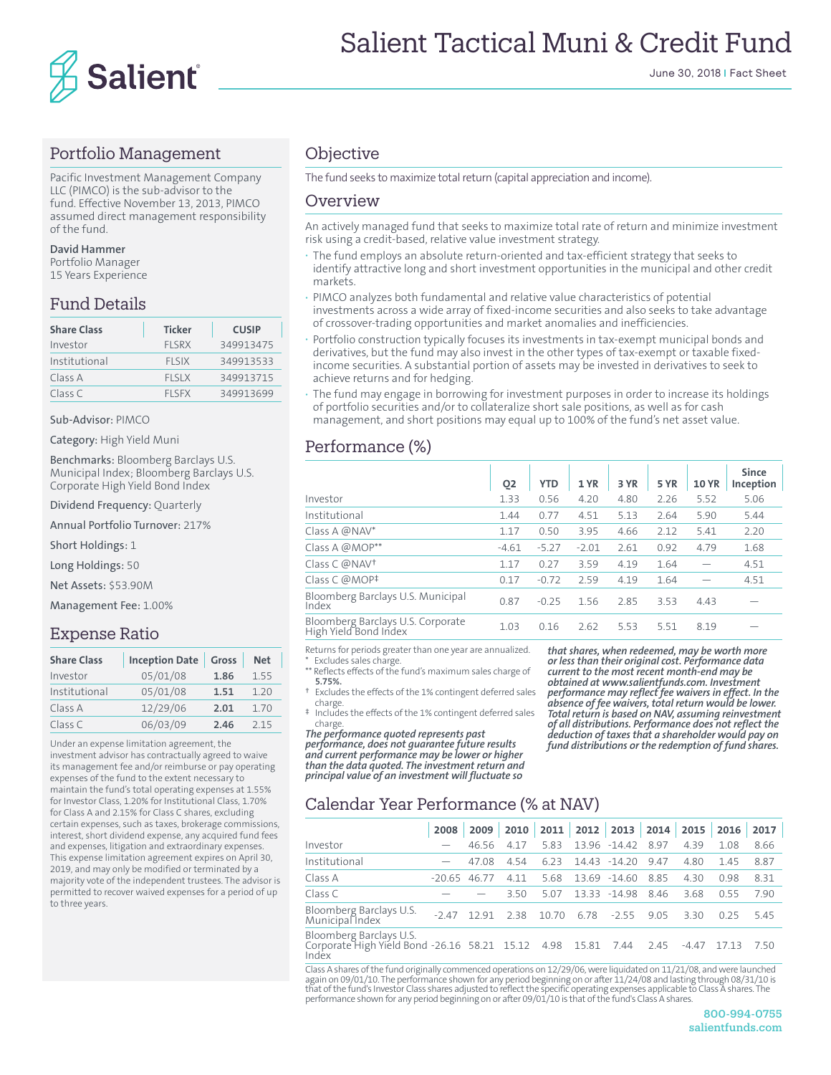

#### Portfolio Management

Pacific Investment Management Company LLC (PIMCO) is the sub-advisor to the fund. Effective November 13, 2013, PIMCO assumed direct management responsibility of the fund.

#### **David Hammer**

Portfolio Manager 15 Years Experience

## Fund Details

| <b>Share Class</b> | <b>Ticker</b> | <b>CUSIP</b> |
|--------------------|---------------|--------------|
| Investor           | <b>FISRX</b>  | 349913475    |
| Institutional      | <b>FLSIX</b>  | 349913533    |
| Class A            | <b>FISIX</b>  | 349913715    |
| Class C            | <b>FISEX</b>  | 349913699    |

#### Sub-Advisor: PIMCO

Category: High Yield Muni

Benchmarks: Bloomberg Barclays U.S. Municipal Index; Bloomberg Barclays U.S. Corporate High Yield Bond Index

Dividend Frequency: Quarterly

Annual Portfolio Turnover: 217%

Short Holdings: 1

Long Holdings: 50

Net Assets: \$53.90M

Management Fee: 1.00%

#### Expense Ratio

| <b>Share Class</b> | <b>Inception Date</b> | Gross | <b>Net</b> |
|--------------------|-----------------------|-------|------------|
| Investor           | 05/01/08              | 1.86  | 1.55       |
| Institutional      | 05/01/08              | 1.51  | 1.20       |
| Class A            | 12/29/06              | 2.01  | 1.70       |
| Class C            | 06/03/09              | 2.46  | 215        |

Under an expense limitation agreement, the investment advisor has contractually agreed to waive its management fee and/or reimburse or pay operating expenses of the fund to the extent necessary to maintain the fund's total operating expenses at 1.55% for Investor Class, 1.20% for Institutional Class, 1.70% for Class A and 2.15% for Class C shares, excluding certain expenses, such as taxes, brokerage commissions, interest, short dividend expense, any acquired fund fees and expenses, litigation and extraordinary expenses. This expense limitation agreement expires on April 30, 2019, and may only be modified or terminated by a majority vote of the independent trustees. The advisor is permitted to recover waived expenses for a period of up to three years.

#### **Objective**

The fund seeks to maximize total return (capital appreciation and income).

#### Overview

An actively managed fund that seeks to maximize total rate of return and minimize investment risk using a credit-based, relative value investment strategy.

- **·** The fund employs an absolute return-oriented and tax-efficient strategy that seeks to identify attractive long and short investment opportunities in the municipal and other credit markets.
- **·** PIMCO analyzes both fundamental and relative value characteristics of potential investments across a wide array of fixed-income securities and also seeks to take advantage of crossover-trading opportunities and market anomalies and inefficiencies.
- **·** Portfolio construction typically focuses its investments in tax-exempt municipal bonds and derivatives, but the fund may also invest in the other types of tax-exempt or taxable fixedincome securities. A substantial portion of assets may be invested in derivatives to seek to achieve returns and for hedging.
- **·** The fund may engage in borrowing for investment purposes in order to increase its holdings of portfolio securities and/or to collateralize short sale positions, as well as for cash management, and short positions may equal up to 100% of the fund's net asset value.

#### Performance (%)

|                                                            | Q <sub>2</sub> | <b>YTD</b> | 1 YR    | 3 YR | 5 YR | <b>10 YR</b> | <b>Since</b><br>Inception |
|------------------------------------------------------------|----------------|------------|---------|------|------|--------------|---------------------------|
| Investor                                                   | 1.33           | 0.56       | 4.20    | 4.80 | 2.26 | 5.52         | 5.06                      |
| Institutional                                              | 1.44           | 0.77       | 4.51    | 5.13 | 2.64 | 5.90         | 5.44                      |
| Class A $@NAV^*$                                           | 1.17           | 0.50       | 3.95    | 4.66 | 2.12 | 5.41         | 2.20                      |
| Class A @MOP**                                             | $-4.61$        | $-5.27$    | $-2.01$ | 2.61 | 0.92 | 4.79         | 1.68                      |
| Class C @NAV <sup>+</sup>                                  | 1.17           | 0.27       | 3.59    | 4.19 | 1.64 |              | 4.51                      |
| Class C @MOP <sup>‡</sup>                                  | 0.17           | $-0.72$    | 2.59    | 4.19 | 1.64 |              | 4.51                      |
| Bloomberg Barclays U.S. Municipal<br>Index                 | 0.87           | $-0.25$    | 1.56    | 2.85 | 3.53 | 4.43         |                           |
| Bloomberg Barclays U.S. Corporate<br>High Yield Bond Index | 1.03           | 0.16       | 2.62    | 5.53 | 5.51 | 8.19         |                           |
|                                                            |                |            |         |      |      |              |                           |

Returns for periods greater than one year are annualized. Excludes sales charge.

\*\* Reflects effects of the fund's maximum sales charge of **5.75%.**

- Excludes the effects of the 1% contingent deferred sales charge.
- ‡ Includes the effects of the 1% contingent deferred sales charge.

*The performance quoted represents past performance, does not guarantee future results and current performance may be lower or higher than the data quoted. The investment return and principal value of an investment will fluctuate so* 

*that shares, when redeemed, may be worth more or less than their original cost. Performance data current to the most recent month-end may be obtained at www.salientfunds.com. Investment performance may reflect fee waivers in effect. In the absence of fee waivers, total return would be lower. Total return is based on NAV, assuming reinvestment of all distributions. Performance does not reflect the deduction of taxes that a shareholder would pay on fund distributions or the redemption of fund shares.*

## Calendar Year Performance (% at NAV)

|                                                                                                  | 2008   | 2009  |       |       |      | 2010 2011 2012 2013 2014 |      | 2015  | 2016  | 2017 |
|--------------------------------------------------------------------------------------------------|--------|-------|-------|-------|------|--------------------------|------|-------|-------|------|
| Investor                                                                                         |        | 46.56 | 417   | 5.83  |      | 13.96 -14.42             | 8.97 | 4.39  | 1.08  | 8.66 |
| Institutional                                                                                    |        | 47.08 | 4.54  | 6.23  |      | 14.43 -14.20             | 9.47 | 4.80  | 1.45  | 8.87 |
| Class A                                                                                          | -20.65 | 46.77 | 4 1 1 | 5.68  |      | 13.69 -14.60             | 8.85 | 430   | 0.98  | 8.31 |
| Class C                                                                                          |        |       | 3.50  | 5.07  |      | 13.33 -14.98             | 8.46 | 3.68  | 0.55  | 7.90 |
| Bloomberg Barclays U.S.<br>Municipal Index                                                       | $-247$ | 1291  | 238   | 10.70 | 6.78 | $-2.55$                  | 9.05 | 330   | 0.25  | 545  |
| Bloomberg Barclays U.S.<br>Corporate High Yield Bond -26.16 58.21 15.12 4.98 15.81 7.44<br>Index |        |       |       |       |      |                          | 2.45 | -4.47 | 17.13 | 750  |

Class A shares of the fund originally commenced operations on 12/29/06, were liquidated on 11/21/08, and were launched<br>again on 09/01/10. The performance shown for any period beginning on or after 11/24/08 and lasting thro performance shown for any period beginning on or after 09/01/10 is that of the fund's Class A shares.